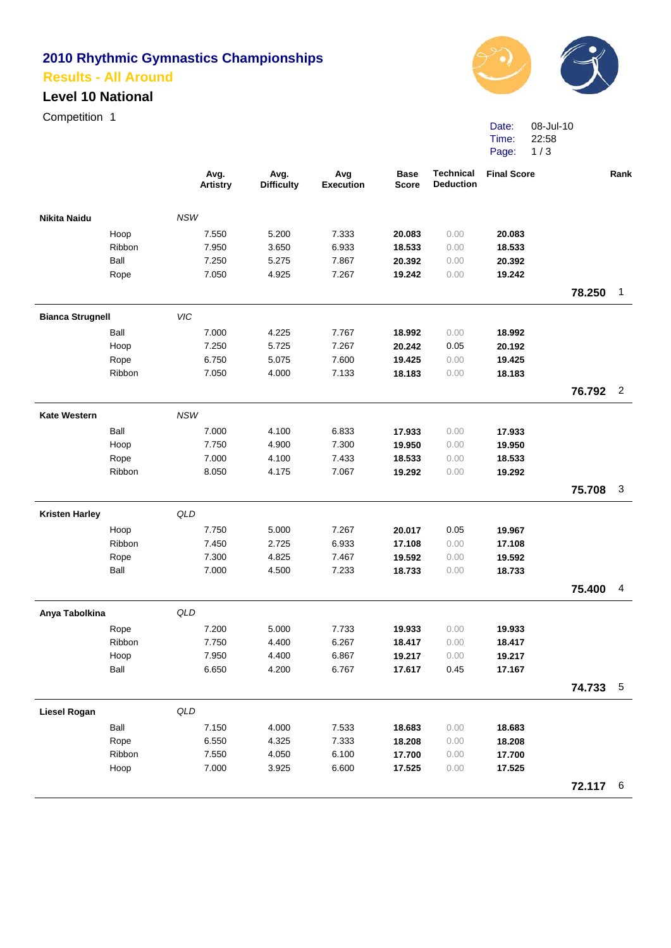# **2010 Rhythmic Gymnastics Championships Results - All Around**

### **Level 10 National**

Competition 1



Date: Time: Page: 1/3 08-Jul-10 22:58

|                         |        |            | Avg.<br><b>Artistry</b> | Avg.<br><b>Difficulty</b> | Avg<br><b>Execution</b> | <b>Base</b><br><b>Score</b> | <b>Technical</b><br><b>Deduction</b> | <b>Final Score</b> |          | Rank           |
|-------------------------|--------|------------|-------------------------|---------------------------|-------------------------|-----------------------------|--------------------------------------|--------------------|----------|----------------|
| <b>Nikita Naidu</b>     |        | <b>NSW</b> |                         |                           |                         |                             |                                      |                    |          |                |
|                         | Hoop   |            | 7.550                   | 5.200                     | 7.333                   | 20.083                      | 0.00                                 | 20.083             |          |                |
|                         | Ribbon |            | 7.950                   | 3.650                     | 6.933                   | 18.533                      | 0.00                                 | 18.533             |          |                |
|                         | Ball   |            | 7.250                   | 5.275                     | 7.867                   | 20.392                      | 0.00                                 | 20.392             |          |                |
|                         | Rope   |            | 7.050                   | 4.925                     | 7.267                   | 19.242                      | 0.00                                 | 19.242             |          |                |
|                         |        |            |                         |                           |                         |                             |                                      |                    | 78.250   | $\mathbf{1}$   |
| <b>Bianca Strugnell</b> |        | VIC        |                         |                           |                         |                             |                                      |                    |          |                |
|                         | Ball   |            | 7.000                   | 4.225                     | 7.767                   | 18.992                      | 0.00                                 | 18.992             |          |                |
|                         | Hoop   |            | 7.250                   | 5.725                     | 7.267                   | 20.242                      | 0.05                                 | 20.192             |          |                |
|                         | Rope   |            | 6.750                   | 5.075                     | 7.600                   | 19.425                      | 0.00                                 | 19.425             |          |                |
|                         | Ribbon |            | 7.050                   | 4.000                     | 7.133                   | 18.183                      | 0.00                                 | 18.183             |          |                |
|                         |        |            |                         |                           |                         |                             |                                      |                    | 76.792   | $\overline{2}$ |
| <b>Kate Western</b>     |        | <b>NSW</b> |                         |                           |                         |                             |                                      |                    |          |                |
|                         | Ball   |            | 7.000                   | 4.100                     | 6.833                   | 17.933                      | 0.00                                 | 17.933             |          |                |
|                         | Hoop   |            | 7.750                   | 4.900                     | 7.300                   | 19.950                      | 0.00                                 | 19.950             |          |                |
|                         | Rope   |            | 7.000                   | 4.100                     | 7.433                   | 18.533                      | 0.00                                 | 18.533             |          |                |
|                         | Ribbon |            | 8.050                   | 4.175                     | 7.067                   | 19.292                      | 0.00                                 | 19.292             |          |                |
|                         |        |            |                         |                           |                         |                             |                                      |                    | 75.708   | 3              |
| <b>Kristen Harley</b>   |        | QLD        |                         |                           |                         |                             |                                      |                    |          |                |
|                         | Hoop   |            | 7.750                   | 5.000                     | 7.267                   | 20.017                      | 0.05                                 | 19.967             |          |                |
|                         | Ribbon |            | 7.450                   | 2.725                     | 6.933                   | 17.108                      | 0.00                                 | 17.108             |          |                |
|                         | Rope   |            | 7.300                   | 4.825                     | 7.467                   | 19.592                      | 0.00                                 | 19.592             |          |                |
|                         | Ball   |            | 7.000                   | 4.500                     | 7.233                   | 18.733                      | 0.00                                 | 18.733             |          |                |
|                         |        |            |                         |                           |                         |                             |                                      |                    | 75.400   | 4              |
| Anya Tabolkina          |        | QLD        |                         |                           |                         |                             |                                      |                    |          |                |
|                         | Rope   |            | 7.200                   | 5.000                     | 7.733                   | 19.933                      | 0.00                                 | 19.933             |          |                |
|                         | Ribbon |            | 7.750                   | 4.400                     | 6.267                   | 18.417                      | 0.00                                 | 18.417             |          |                |
|                         | Hoop   |            | 7.950                   | 4.400                     | 6.867                   | 19.217                      | 0.00                                 | 19.217             |          |                |
|                         | Ball   |            | 6.650                   | 4.200                     | 6.767                   | 17.617                      | 0.45                                 | 17.167             |          |                |
|                         |        |            |                         |                           |                         |                             |                                      |                    | 74.733   | $-5$           |
| <b>Liesel Rogan</b>     |        | QLD        |                         |                           |                         |                             |                                      |                    |          |                |
|                         | Ball   |            | 7.150                   | 4.000                     | 7.533                   | 18.683                      | 0.00                                 | 18.683             |          |                |
|                         | Rope   |            | 6.550                   | 4.325                     | 7.333                   | 18.208                      | 0.00                                 | 18.208             |          |                |
|                         | Ribbon |            | 7.550                   | 4.050                     | 6.100                   | 17.700                      | 0.00                                 | 17.700             |          |                |
|                         | Hoop   |            | 7.000                   | 3.925                     | 6.600                   | 17.525                      | 0.00                                 | 17.525             |          |                |
|                         |        |            |                         |                           |                         |                             |                                      |                    | 72.117 6 |                |
|                         |        |            |                         |                           |                         |                             |                                      |                    |          |                |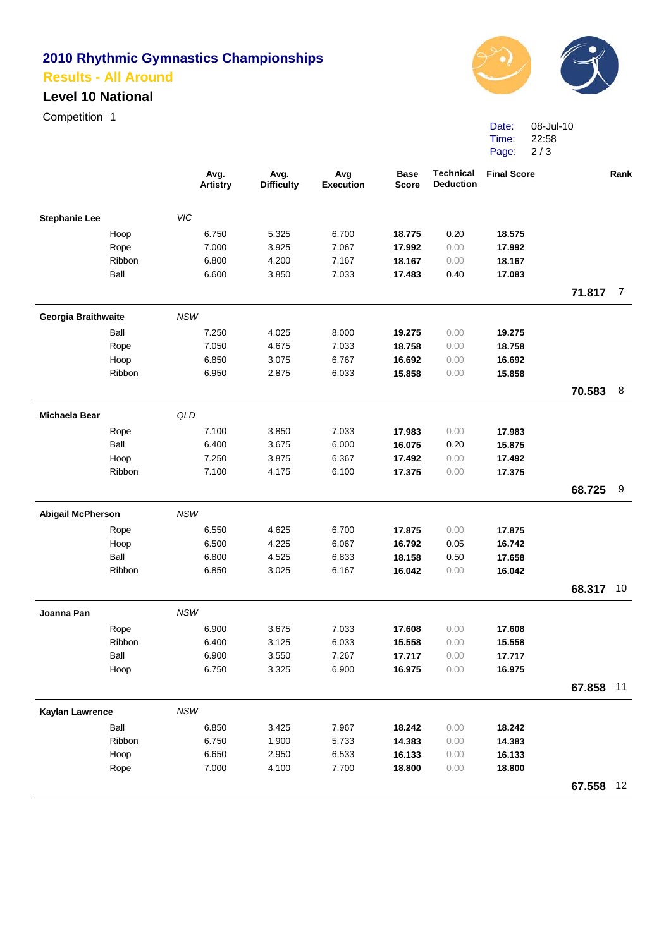## **2010 Rhythmic Gymnastics Championships Results - All Around**

### **Level 10 National**

Competition 1



Date: Time: Page: 08-Jul-10 22:58 2 / 3

|                          |        | Avg.<br>Artistry | Avg.<br><b>Difficulty</b> | Avg<br><b>Execution</b> | <b>Base</b><br><b>Score</b> | <b>Technical</b><br><b>Deduction</b> | <b>Final Score</b> |           | Rank |
|--------------------------|--------|------------------|---------------------------|-------------------------|-----------------------------|--------------------------------------|--------------------|-----------|------|
| <b>Stephanie Lee</b>     |        | VIC              |                           |                         |                             |                                      |                    |           |      |
|                          | Hoop   | 6.750            | 5.325                     | 6.700                   | 18.775                      | 0.20                                 | 18.575             |           |      |
|                          | Rope   | 7.000            | 3.925                     | 7.067                   | 17.992                      | 0.00                                 | 17.992             |           |      |
|                          | Ribbon | 6.800            | 4.200                     | 7.167                   | 18.167                      | 0.00                                 | 18.167             |           |      |
|                          | Ball   | 6.600            | 3.850                     | 7.033                   | 17.483                      | 0.40                                 | 17.083             |           |      |
|                          |        |                  |                           |                         |                             |                                      |                    | 71.817 7  |      |
| Georgia Braithwaite      |        | <b>NSW</b>       |                           |                         |                             |                                      |                    |           |      |
|                          | Ball   | 7.250            | 4.025                     | 8.000                   | 19.275                      | 0.00                                 | 19.275             |           |      |
|                          | Rope   | 7.050            | 4.675                     | 7.033                   | 18.758                      | 0.00                                 | 18.758             |           |      |
|                          | Hoop   | 6.850            | 3.075                     | 6.767                   | 16.692                      | 0.00                                 | 16.692             |           |      |
|                          | Ribbon | 6.950            | 2.875                     | 6.033                   | 15.858                      | 0.00                                 | 15.858             |           |      |
|                          |        |                  |                           |                         |                             |                                      |                    | 70.583    | 8    |
| Michaela Bear            |        | QLD              |                           |                         |                             |                                      |                    |           |      |
|                          | Rope   | 7.100            | 3.850                     | 7.033                   | 17.983                      | 0.00                                 | 17.983             |           |      |
|                          | Ball   | 6.400            | 3.675                     | 6.000                   | 16.075                      | 0.20                                 | 15.875             |           |      |
|                          | Hoop   | 7.250            | 3.875                     | 6.367                   | 17.492                      | 0.00                                 | 17.492             |           |      |
|                          | Ribbon | 7.100            | 4.175                     | 6.100                   | 17.375                      | 0.00                                 | 17.375             |           |      |
|                          |        |                  |                           |                         |                             |                                      |                    | 68.725    | 9    |
| <b>Abigail McPherson</b> |        | <b>NSW</b>       |                           |                         |                             |                                      |                    |           |      |
|                          | Rope   | 6.550            | 4.625                     | 6.700                   | 17.875                      | 0.00                                 | 17.875             |           |      |
|                          | Hoop   | 6.500            | 4.225                     | 6.067                   | 16.792                      | 0.05                                 | 16.742             |           |      |
|                          | Ball   | 6.800            | 4.525                     | 6.833                   | 18.158                      | 0.50                                 | 17.658             |           |      |
|                          | Ribbon | 6.850            | 3.025                     | 6.167                   | 16.042                      | 0.00                                 | 16.042             |           |      |
|                          |        |                  |                           |                         |                             |                                      |                    | 68.317    | 10   |
| Joanna Pan               |        | <b>NSW</b>       |                           |                         |                             |                                      |                    |           |      |
|                          | Rope   | 6.900            | 3.675                     | 7.033                   | 17.608                      | 0.00                                 | 17.608             |           |      |
|                          | Ribbon | 6.400            | 3.125                     | 6.033                   | 15.558                      | 0.00                                 | 15.558             |           |      |
|                          | Ball   | 6.900            | 3.550                     | 7.267                   | 17.717                      | 0.00                                 | 17.717             |           |      |
|                          | Hoop   | 6.750            | 3.325                     | 6.900                   | 16.975                      | 0.00                                 | 16.975             |           |      |
|                          |        |                  |                           |                         |                             |                                      |                    | 67.858 11 |      |
| <b>Kaylan Lawrence</b>   |        | NSW              |                           |                         |                             |                                      |                    |           |      |
|                          | Ball   | 6.850            | 3.425                     | 7.967                   | 18.242                      | 0.00                                 | 18.242             |           |      |
|                          | Ribbon | 6.750            | 1.900                     | 5.733                   | 14.383                      | 0.00                                 | 14.383             |           |      |
|                          | Hoop   | 6.650            | 2.950                     | 6.533                   | 16.133                      | 0.00                                 | 16.133             |           |      |
|                          | Rope   | 7.000            | 4.100                     | 7.700                   | 18.800                      | 0.00                                 | 18.800             |           |      |
|                          |        |                  |                           |                         |                             |                                      |                    | 67.558 12 |      |